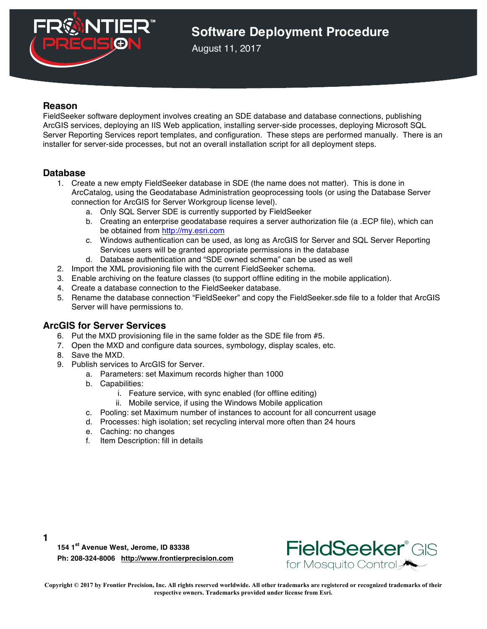

## **Software Deployment Procedure**

August 11, 2017

### **Reason**

FieldSeeker software deployment involves creating an SDE database and database connections, publishing ArcGIS services, deploying an IIS Web application, installing server-side processes, deploying Microsoft SQL Server Reporting Services report templates, and configuration. These steps are performed manually. There is an installer for server-side processes, but not an overall installation script for all deployment steps.

### **Database**

- 1. Create a new empty FieldSeeker database in SDE (the name does not matter). This is done in ArcCatalog, using the Geodatabase Administration geoprocessing tools (or using the Database Server connection for ArcGIS for Server Workgroup license level).
	- a. Only SQL Server SDE is currently supported by FieldSeeker
	- b. Creating an enterprise geodatabase requires a server authorization file (a .ECP file), which can be obtained from http://my.esri.com
	- c. Windows authentication can be used, as long as ArcGIS for Server and SQL Server Reporting Services users will be granted appropriate permissions in the database
	- d. Database authentication and "SDE owned schema" can be used as well
- 2. Import the XML provisioning file with the current FieldSeeker schema.
- 3. Enable archiving on the feature classes (to support offline editing in the mobile application).
- 4. Create a database connection to the FieldSeeker database.
- 5. Rename the database connection "FieldSeeker" and copy the FieldSeeker.sde file to a folder that ArcGIS Server will have permissions to.

#### **ArcGIS for Server Services**

- 6. Put the MXD provisioning file in the same folder as the SDE file from #5.
- 7. Open the MXD and configure data sources, symbology, display scales, etc.
- 8. Save the MXD.

**1**

- 9. Publish services to ArcGIS for Server.
	- a. Parameters: set Maximum records higher than 1000
		- b. Capabilities:
			- i. Feature service, with sync enabled (for offline editing)
			- ii. Mobile service, if using the Windows Mobile application
		- c. Pooling: set Maximum number of instances to account for all concurrent usage
		- d. Processes: high isolation; set recycling interval more often than 24 hours
		- e. Caching: no changes
		- f. Item Description: fill in details

**154 1st Avenue West, Jerome, ID 83338 Ph: 208-324-8006 http://www.frontierprecision.com**



**Copyright © 2017 by Frontier Precision, Inc. All rights reserved worldwide. All other trademarks are registered or recognized trademarks of their respective owners. Trademarks provided under license from Esri.**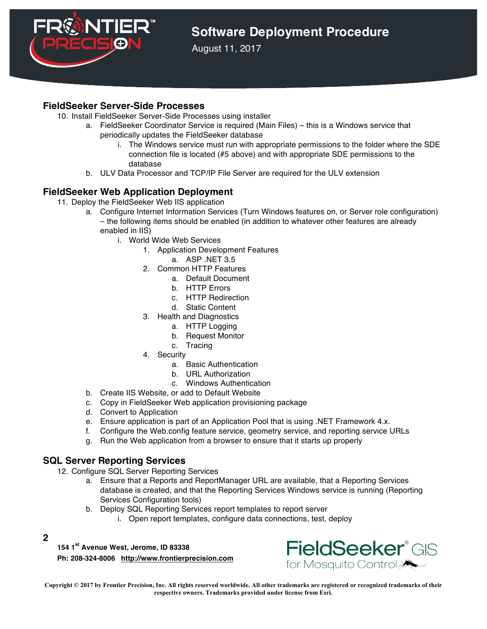

# **Software Deployment Procedure**

August 11, 2017

### **FieldSeeker Server-Side Processes**

- 10. Install FieldSeeker Server-Side Processes using installer
	- a. FieldSeeker Coordinator Service is required (Main Files) this is a Windows service that periodically updates the FieldSeeker database
		- i. The Windows service must run with appropriate permissions to the folder where the SDE connection file is located (#5 above) and with appropriate SDE permissions to the database
	- b. ULV Data Processor and TCP/IP File Server are required for the ULV extension

## **FieldSeeker Web Application Deployment**

- 11. Deploy the FieldSeeker Web IIS application
	- a. Configure Internet Information Services (Turn Windows features on, or Server role configuration) – the following items should be enabled (in addition to whatever other features are already enabled in IIS)
		- i. World Wide Web Services
			- 1. Application Development Features
				- a. ASP .NET 3.5
			- 2. Common HTTP Features
				- a. Default Document
				- b. HTTP Errors
				- c. HTTP Redirection
				- d. Static Content
			- 3. Health and Diagnostics
				- a. HTTP Logging
				- b. Request Monitor
				- c. Tracing
			- 4. Security
				- a. Basic Authentication
				- b. URL Authorization
				- c. Windows Authentication
	- b. Create IIS Website, or add to Default Website
	- c. Copy in FieldSeeker Web application provisioning package
	- d. Convert to Application
	- e. Ensure application is part of an Application Pool that is using .NET Framework 4.x.
	- f. Configure the Web.config feature service, geometry service, and reporting service URLs
	- g. Run the Web application from a browser to ensure that it starts up properly

## **SQL Server Reporting Services**

- 12. Configure SQL Server Reporting Services
	- a. Ensure that a Reports and ReportManager URL are available, that a Reporting Services database is created, and that the Reporting Services Windows service is running (Reporting Services Configuration tools)
	- b. Deploy SQL Reporting Services report templates to report server
		- i. Open report templates, configure data connections, test, deploy
- **2**

**154 1st Avenue West, Jerome, ID 83338**

**Ph: 208-324-8006 http://www.frontierprecision.com**



**Copyright © 2017 by Frontier Precision, Inc. All rights reserved worldwide. All other trademarks are registered or recognized trademarks of their respective owners. Trademarks provided under license from Esri.**